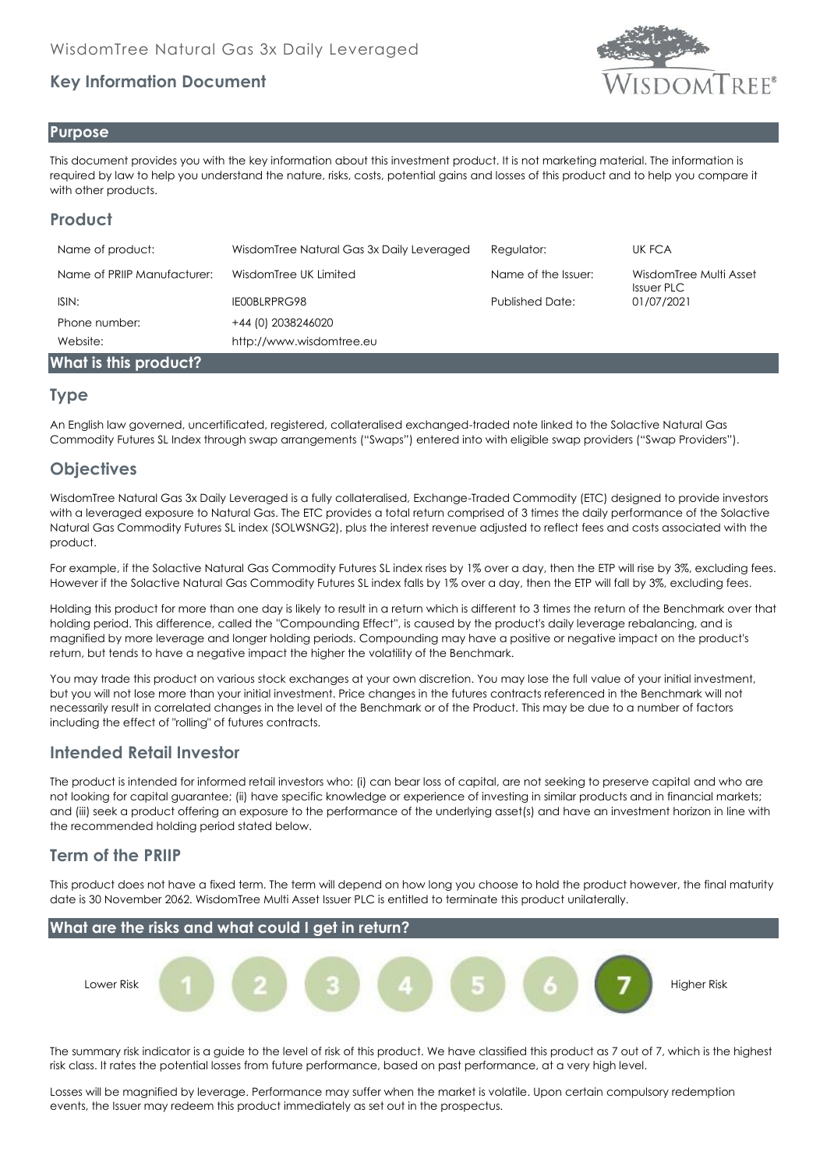# **Key Information Document**



#### **Purpose**

This document provides you with the key information about this investment product. It is not marketing material. The information is required by law to help you understand the nature, risks, costs, potential gains and losses of this product and to help you compare it with other products.

# **Product**

| Name of product:            | WisdomTree Natural Gas 3x Daily Leveraged | Regulator:             | UK FCA                               |
|-----------------------------|-------------------------------------------|------------------------|--------------------------------------|
| Name of PRIIP Manufacturer: | WisdomTree UK Limited                     | Name of the Issuer:    | WisdomTree Multi Asset<br>Issuer PLC |
| ISIN:                       | IE00BLRPRG98                              | <b>Published Date:</b> | 01/07/2021                           |
| Phone number:               | +44 (0) 2038246020                        |                        |                                      |
| Website:                    | http://www.wisdomtree.eu                  |                        |                                      |
| What is this product?       |                                           |                        |                                      |

#### **Type**

An English law governed, uncertificated, registered, collateralised exchanged-traded note linked to the Solactive Natural Gas Commodity Futures SL Index through swap arrangements ("Swaps") entered into with eligible swap providers ("Swap Providers").

# **Objectives**

WisdomTree Natural Gas 3x Daily Leveraged is a fully collateralised, Exchange-Traded Commodity (ETC) designed to provide investors with a leveraged exposure to Natural Gas. The ETC provides a total return comprised of 3 times the daily performance of the Solactive Natural Gas Commodity Futures SL index (SOLWSNG2), plus the interest revenue adjusted to reflect fees and costs associated with the product.

For example, if the Solactive Natural Gas Commodity Futures SL index rises by 1% over a day, then the ETP will rise by 3%, excluding fees. However if the Solactive Natural Gas Commodity Futures SL index falls by 1% over a day, then the ETP will fall by 3%, excluding fees.

Holding this product for more than one day is likely to result in a return which is different to 3 times the return of the Benchmark over that holding period. This difference, called the ''Compounding Effect'', is caused by the product's daily leverage rebalancing, and is magnified by more leverage and longer holding periods. Compounding may have a positive or negative impact on the product's return, but tends to have a negative impact the higher the volatility of the Benchmark.

You may trade this product on various stock exchanges at your own discretion. You may lose the full value of your initial investment, but you will not lose more than your initial investment. Price changes in the futures contracts referenced in the Benchmark will not necessarily result in correlated changes in the level of the Benchmark or of the Product. This may be due to a number of factors including the effect of "rolling" of futures contracts.

### **Intended Retail Investor**

The product is intended for informed retail investors who: (i) can bear loss of capital, are not seeking to preserve capital and who are not looking for capital guarantee; (ii) have specific knowledge or experience of investing in similar products and in financial markets; and (iii) seek a product offering an exposure to the performance of the underlying asset(s) and have an investment horizon in line with the recommended holding period stated below.

# **Term of the PRIIP**

This product does not have a fixed term. The term will depend on how long you choose to hold the product however, the final maturity date is 30 November 2062. WisdomTree Multi Asset Issuer PLC is entitled to terminate this product unilaterally.



The summary risk indicator is a guide to the level of risk of this product. We have classified this product as 7 out of 7, which is the highest risk class. It rates the potential losses from future performance, based on past performance, at a very high level.

Losses will be magnified by leverage. Performance may suffer when the market is volatile. Upon certain compulsory redemption events, the Issuer may redeem this product immediately as set out in the prospectus.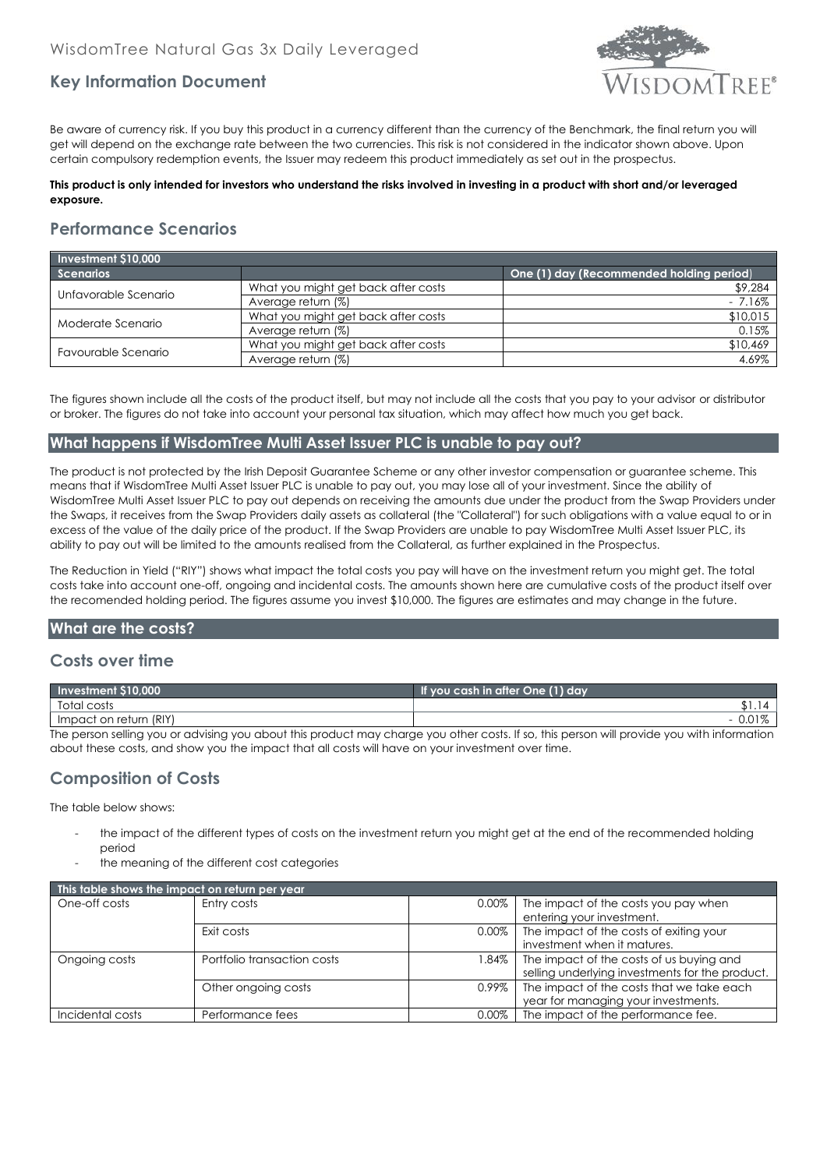

## **Key Information Document**

Be aware of currency risk. If you buy this product in a currency different than the currency of the Benchmark, the final return you will get will depend on the exchange rate between the two currencies. This risk is not considered in the indicator shown above. Upon certain compulsory redemption events, the Issuer may redeem this product immediately as set out in the prospectus.

#### **This product is only intended for investors who understand the risks involved in investing in a product with short and/or leveraged exposure.**

## **Performance Scenarios**

| Investment \$10,000  |                                     |                                          |  |  |
|----------------------|-------------------------------------|------------------------------------------|--|--|
| <b>Scenarios</b>     |                                     | One (1) day (Recommended holding period) |  |  |
| Unfavorable Scenario | What you might get back after costs | \$9,284                                  |  |  |
|                      | Average return (%)                  | $-7.16\%$                                |  |  |
| Moderate Scenario    | What you might get back after costs | \$10,015                                 |  |  |
|                      | Average return (%)                  | 0.15%                                    |  |  |
| Favourable Scenario  | What you might get back after costs | \$10,469                                 |  |  |
|                      | Average return (%)                  | 4.69%                                    |  |  |

The figures shown include all the costs of the product itself, but may not include all the costs that you pay to your advisor or distributor or broker. The figures do not take into account your personal tax situation, which may affect how much you get back.

#### **What happens if WisdomTree Multi Asset Issuer PLC is unable to pay out?**

The product is not protected by the Irish Deposit Guarantee Scheme or any other investor compensation or guarantee scheme. This means that if WisdomTree Multi Asset Issuer PLC is unable to pay out, you may lose all of your investment. Since the ability of WisdomTree Multi Asset Issuer PLC to pay out depends on receiving the amounts due under the product from the Swap Providers under the Swaps, it receives from the Swap Providers daily assets as collateral (the "Collateral") for such obligations with a value equal to or in excess of the value of the daily price of the product. If the Swap Providers are unable to pay WisdomTree Multi Asset Issuer PLC, its ability to pay out will be limited to the amounts realised from the Collateral, as further explained in the Prospectus.

The Reduction in Yield ("RIY") shows what impact the total costs you pay will have on the investment return you might get. The total costs take into account one-off, ongoing and incidental costs. The amounts shown here are cumulative costs of the product itself over the recomended holding period. The figures assume you invest \$10,000. The figures are estimates and may change in the future.

#### **What are the costs?**

#### **Costs over time**

| Investment \$10,000                                                                                                                        | If you cash in after One (1) day |  |  |
|--------------------------------------------------------------------------------------------------------------------------------------------|----------------------------------|--|--|
| Total costs                                                                                                                                |                                  |  |  |
| Impact on return (RIY)                                                                                                                     |                                  |  |  |
| The person selling you or advising you about this product may charge you other costs. If so, this person will provide you with information |                                  |  |  |

The person selling you or advising you about this product may charge you other costs. If so, this person will provide you with information about these costs, and show you the impact that all costs will have on your investment over time.

### **Composition of Costs**

The table below shows:

- the impact of the different types of costs on the investment return you might get at the end of the recommended holding period
- the meaning of the different cost categories

| This table shows the impact on return per year |                             |          |                                                 |  |
|------------------------------------------------|-----------------------------|----------|-------------------------------------------------|--|
| One-off costs                                  | Entry costs                 | 0.00%    | The impact of the costs you pay when            |  |
|                                                |                             |          | entering your investment.                       |  |
|                                                | Exit costs                  | $0.00\%$ | The impact of the costs of exiting your         |  |
|                                                |                             |          | investment when it matures.                     |  |
| Ongoing costs                                  | Portfolio transaction costs | l.84% l  | The impact of the costs of us buying and        |  |
|                                                |                             |          | selling underlying investments for the product. |  |
|                                                | Other ongoing costs         | 0.99%    | The impact of the costs that we take each       |  |
|                                                |                             |          | year for managing your investments.             |  |
| Incidental costs                               | Performance fees            | $0.00\%$ | The impact of the performance fee.              |  |